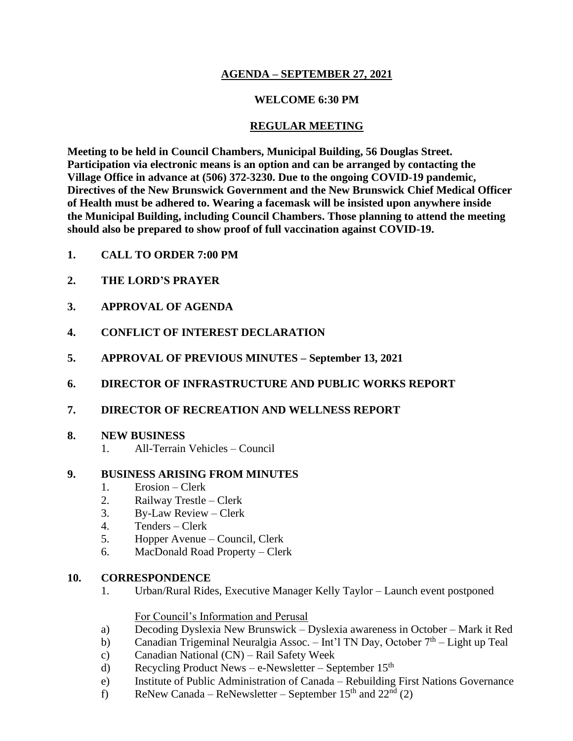## **AGENDA – SEPTEMBER 27, 2021**

## **WELCOME 6:30 PM**

## **REGULAR MEETING**

**Meeting to be held in Council Chambers, Municipal Building, 56 Douglas Street. Participation via electronic means is an option and can be arranged by contacting the Village Office in advance at (506) 372-3230. Due to the ongoing COVID-19 pandemic, Directives of the New Brunswick Government and the New Brunswick Chief Medical Officer of Health must be adhered to. Wearing a facemask will be insisted upon anywhere inside the Municipal Building, including Council Chambers. Those planning to attend the meeting should also be prepared to show proof of full vaccination against COVID-19.**

- **1. CALL TO ORDER 7:00 PM**
- **2. THE LORD'S PRAYER**
- **3. APPROVAL OF AGENDA**
- **4. CONFLICT OF INTEREST DECLARATION**
- **5. APPROVAL OF PREVIOUS MINUTES – September 13, 2021**
- **6. DIRECTOR OF INFRASTRUCTURE AND PUBLIC WORKS REPORT**
- **7. DIRECTOR OF RECREATION AND WELLNESS REPORT**

#### **8. NEW BUSINESS**

1. All-Terrain Vehicles – Council

#### **9. BUSINESS ARISING FROM MINUTES**

- 1. Erosion Clerk
- 2. Railway Trestle Clerk
- 3. By-Law Review Clerk
- 4. Tenders Clerk
- 5. Hopper Avenue Council, Clerk
- 6. MacDonald Road Property Clerk

#### **10. CORRESPONDENCE**

1. Urban/Rural Rides, Executive Manager Kelly Taylor – Launch event postponed

For Council's Information and Perusal

- a) Decoding Dyslexia New Brunswick Dyslexia awareness in October Mark it Red
- b) Canadian Trigeminal Neuralgia Assoc. Int'l TN Day, October  $7<sup>th</sup>$  Light up Teal
- c) Canadian National (CN) Rail Safety Week
- d) Recycling Product News e-Newsletter September  $15<sup>th</sup>$
- e) Institute of Public Administration of Canada Rebuilding First Nations Governance
- f) ReNew Canada ReNewsletter September  $15<sup>th</sup>$  and  $22<sup>nd</sup>$  (2)